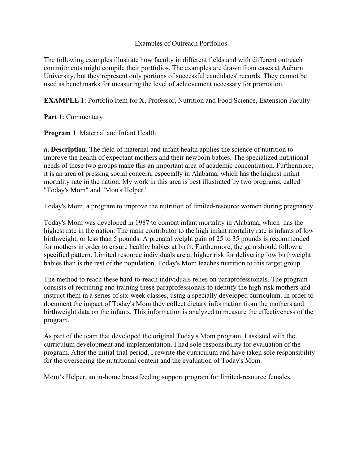## Examples of Outreach Portfolios

The following examples illustrate how faculty in different fields and with different outreach commitments might compile their portfolios. The examples are drawn from cases at Auburn University, but they represent only portions of successful candidates' records. They cannot be used as benchmarks for measuring the level of achievement necessary for promotion.

**EXAMPLE 1**: Portfolio Item for X, Professor, Nutrition and Food Science, Extension Faculty

### **Part 1**: Commentary

**Program 1**. Maternal and Infant Health

**a. Description**. The field of maternal and infant health applies the science of nutrition to improve the health of expectant mothers and their newborn babies. The specialized nutritional needs of these two groups make this an important area of academic concentration. Furthermore, it is an area of pressing social concern, especially in Alabama, which has the highest infant mortality rate in the nation. My work in this area is best illustrated by two programs, called "Today's Mom" and "Mon's Helper."

Today's Mom, a program to improve the nutrition of limited-resource women during pregnancy.

Today's Mom was developed in 1987 to combat infant mortality in Alabama, which has the highest rate in the nation. The main contributor to the high infant mortality rate is infants of low birthweight, or less than 5 pounds. A prenatal weight gain of 25 to 35 pounds is recommended for mothers in order to ensure healthy babies at birth. Furthermore, the gain should follow a specified pattern. Limited resource individuals are at higher risk for delivering low birthweight babies than is the rest of the population. Today's Mom teaches nutrition to this target group.

The method to reach these hard-to-reach individuals relies on paraprofessionals. The program consists of recruiting and training these paraprofessionals to identify the high-risk mothers and instruct them in a series of six-week classes, using a specially developed curriculum. In order to document the impact of Today's Mom they collect dietary information from the mothers and birthweight data on the infants. This information is analyzed to measure the effectiveness of the program.

As part of the team that developed the original Today's Mom program, I assisted with the curriculum development and implementation. I had sole responsibility for evaluation of the program. After the initial trial period, I rewrite the curriculum and have taken sole responsibility for the overseeing the nutritional content and the evaluation of Today's Mom.

Mom's Helper, an in-home breastfeeding support program for limited-resource females.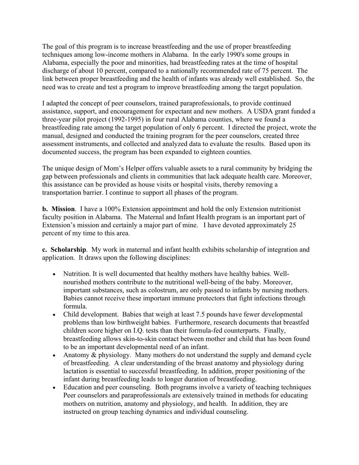The goal of this program is to increase breastfeeding and the use of proper breastfeeding techniques among low-income mothers in Alabama. In the early 1990's some groups in Alabama, especially the poor and minorities, had breastfeeding rates at the time of hospital discharge of about 10 percent, compared to a nationally recommended rate of 75 percent. The link between proper breastfeeding and the health of infants was already well established. So, the need was to create and test a program to improve breastfeeding among the target population.

I adapted the concept of peer counselors, trained paraprofessionals, to provide continued assistance, support, and encouragement for expectant and new mothers. A USDA grant funded a three-year pilot project (1992-1995) in four rural Alabama counties, where we found a breastfeeding rate among the target population of only 6 percent. I directed the project, wrote the manual, designed and conducted the training program for the peer counselors, created three assessment instruments, and collected and analyzed data to evaluate the results. Based upon its documented success, the program has been expanded to eighteen counties.

The unique design of Mom's Helper offers valuable assets to a rural community by bridging the gap between professionals and clients in communities that lack adequate health care. Moreover, this assistance can be provided as house visits or hospital visits, thereby removing a transportation barrier. I continue to support all phases of the program.

**b. Mission**. I have a 100% Extension appointment and hold the only Extension nutritionist faculty position in Alabama. The Maternal and Infant Health program is an important part of Extension's mission and certainly a major part of mine. I have devoted approximately 25 percent of my time to this area.

**c. Scholarship**. My work in maternal and infant health exhibits scholarship of integration and application. It draws upon the following disciplines:

- • Nutrition. It is well documented that healthy mothers have healthy babies. Wellnourished mothers contribute to the nutritional well-being of the baby. Moreover, important substances, such as colostrum, are only passed to infants by nursing mothers. Babies cannot receive these important immune protectors that fight infections through formula.
- Child development. Babies that weigh at least 7.5 pounds have fewer developmental problems than low birthweight babies. Furthermore, research documents that breastfed children score higher on I.Q. tests than their formula-fed counterparts. Finally, breastfeeding allows skin-to-skin contact between mother and child that has been found to be an important developmental need of an infant.
- Anatomy & physiology. Many mothers do not understand the supply and demand cycle of breastfeeding. A clear understanding of the breast anatomy and physiology during lactation is essential to successful breastfeeding. In addition, proper positioning of the infant during breastfeeding leads to longer duration of breastfeeding.
- Education and peer counseling. Both programs involve a variety of teaching techniques Peer counselors and paraprofessionals are extensively trained in methods for educating mothers on nutrition, anatomy and physiology, and health. In addition, they are instructed on group teaching dynamics and individual counseling.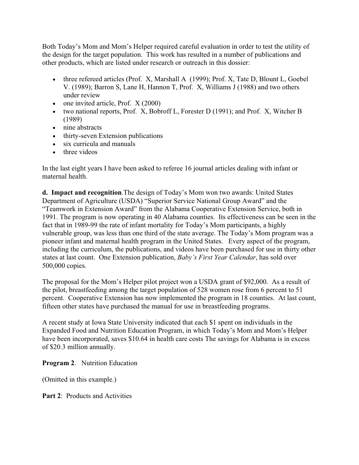Both Today's Mom and Mom's Helper required careful evaluation in order to test the utility of the design for the target population. This work has resulted in a number of publications and other products, which are listed under research or outreach in this dossier:

- three refereed articles (Prof. X, Marshall A (1999); Prof. X, Tate D, Blount L, Goebel V. (1989); Barron S, Lane H, Hannon T, Prof. X, Williams J (1988) and two others under review
- one invited article, Prof.  $X(2000)$
- two national reports, Prof. X, Bobroff L, Forester D (1991); and Prof. X, Witcher B (1989)
- nine abstracts
- thirty-seven Extension publications
- six curricula and manuals
- three videos

In the last eight years I have been asked to referee 16 journal articles dealing with infant or maternal health.

**d. Impact and recognition**.The design of Today's Mom won two awards: United States Department of Agriculture (USDA) "Superior Service National Group Award" and the "Teamwork in Extension Award" from the Alabama Cooperative Extension Service, both in 1991. The program is now operating in 40 Alabama counties. Its effectiveness can be seen in the fact that in 1989-99 the rate of infant mortality for Today's Mom participants, a highly vulnerable group, was less than one third of the state average. The Today's Mom program was a pioneer infant and maternal health program in the United States. Every aspect of the program, including the curriculum, the publications, and videos have been purchased for use in thirty other states at last count. One Extension publication, *Baby's First Year Calendar*, has sold over 500,000 copies.

The proposal for the Mom's Helper pilot project won a USDA grant of \$92,000. As a result of the pilot, breastfeeding among the target population of 528 women rose from 6 percent to 51 percent. Cooperative Extension has now implemented the program in 18 counties. At last count, fifteen other states have purchased the manual for use in breastfeeding programs.

A recent study at Iowa State University indicated that each \$1 spent on individuals in the Expanded Food and Nutrition Education Program, in which Today's Mom and Mom's Helper have been incorporated, saves \$10.64 in health care costs The savings for Alabama is in excess of \$20.3 million annually.

**Program 2**. Nutrition Education

(Omitted in this example.)

**Part 2:** Products and Activities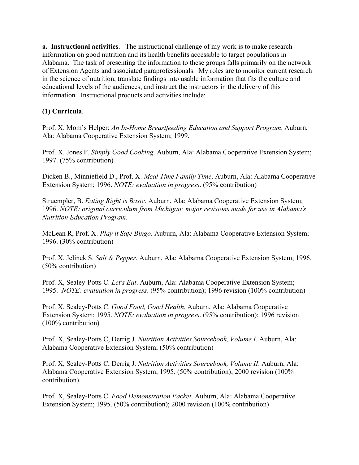**a. Instructional activities**. The instructional challenge of my work is to make research information on good nutrition and its health benefits accessible to target populations in Alabama. The task of presenting the information to these groups falls primarily on the network of Extension Agents and associated paraprofessionals. My roles are to monitor current research in the science of nutrition, translate findings into usable information that fits the culture and educational levels of the audiences, and instruct the instructors in the delivery of this information. Instructional products and activities include:

# **(1) Curricula**.

Prof. X. Mom's Helper: *An In-Home Breastfeeding Education and Support Program*. Auburn, Ala: Alabama Cooperative Extension System; 1999.

Prof. X. Jones F. *Simply Good Cooking*. Auburn, Ala: Alabama Cooperative Extension System; 1997. (75% contribution)

Dicken B., Minniefield D., Prof. X. *Meal Time Family Time*. Auburn, Ala: Alabama Cooperative Extension System; 1996. *NOTE: evaluation in progress*. (95% contribution)

Struempler, B. *Eating Right is Basic*. Auburn, Ala: Alabama Cooperative Extension System; 1996. *NOTE: original curriculum from Michigan; major revisions made for use in Alabama's Nutrition Education Program*.

McLean R, Prof. X. *Play it Safe Bingo*. Auburn, Ala: Alabama Cooperative Extension System; 1996. (30% contribution)

Prof. X, Jelinek S. *Salt & Pepper*. Auburn, Ala: Alabama Cooperative Extension System; 1996. (50% contribution)

Prof. X, Sealey-Potts C. *Let's Eat*. Auburn, Ala: Alabama Cooperative Extension System; 1995. *NOTE: evaluation in progress*. (95% contribution); 1996 revision (100% contribution)

Prof. X, Sealey-Potts C. *Good Food, Good Health*. Auburn, Ala: Alabama Cooperative Extension System; 1995. *NOTE: evaluation in progress*. (95% contribution); 1996 revision (100% contribution)

Prof. X, Sealey-Potts C, Derrig J. *Nutrition Activities Sourcebook, Volume I*. Auburn, Ala: Alabama Cooperative Extension System; (50% contribution)

Prof. X, Sealey-Potts C, Derrig J. *Nutrition Activities Sourcebook, Volume II*. Auburn, Ala: Alabama Cooperative Extension System; 1995. (50% contribution); 2000 revision (100% contribution).

Prof. X, Sealey-Potts C. *Food Demonstration Packet*. Auburn, Ala: Alabama Cooperative Extension System; 1995. (50% contribution); 2000 revision (100% contribution)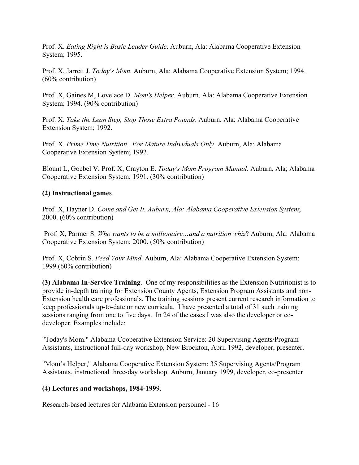Prof. X. *Eating Right is Basic Leader Guide*. Auburn, Ala: Alabama Cooperative Extension System; 1995.

Prof. X, Jarrett J. *Today's Mom*. Auburn, Ala: Alabama Cooperative Extension System; 1994. (60% contribution)

Prof. X, Gaines M, Lovelace D. *Mom's Helper*. Auburn, Ala: Alabama Cooperative Extension System; 1994. (90% contribution)

Prof. X. *Take the Lean Step, Stop Those Extra Pounds*. Auburn, Ala: Alabama Cooperative Extension System; 1992.

Prof. X. *Prime Time Nutrition...For Mature Individuals Only*. Auburn, Ala: Alabama Cooperative Extension System; 1992.

Blount L, Goebel V, Prof. X, Crayton E. *Today's Mom Program Manual*. Auburn, Ala; Alabama Cooperative Extension System; 1991. (30% contribution)

### **(2) Instructional game**s.

Prof. X, Hayner D. *Come and Get It. Auburn, Ala: Alabama Cooperative Extension System*; 2000. (60% contribution)

 Prof. X, Parmer S. *Who wants to be a millionaire…and a nutrition whiz*? Auburn, Ala: Alabama Cooperative Extension System; 2000. (50% contribution)

Prof. X, Cobrin S. *Feed Your Mind*. Auburn, Ala: Alabama Cooperative Extension System; 1999.(60% contribution)

**(3) Alabama In-Service Training**. One of my responsibilities as the Extension Nutritionist is to provide in-depth training for Extension County Agents, Extension Program Assistants and non-Extension health care professionals. The training sessions present current research information to keep professionals up-to-date or new curricula. I have presented a total of 31 such training sessions ranging from one to five days. In 24 of the cases I was also the developer or codeveloper. Examples include:

"Today's Mom." Alabama Cooperative Extension Service: 20 Supervising Agents/Program Assistants, instructional full-day workshop, New Brockton, April 1992, developer, presenter.

"Mom's Helper," Alabama Cooperative Extension System: 35 Supervising Agents/Program Assistants, instructional three-day workshop. Auburn, January 1999, developer, co-presenter

#### **(4) Lectures and workshops, 1984-199**9.

Research-based lectures for Alabama Extension personnel - 16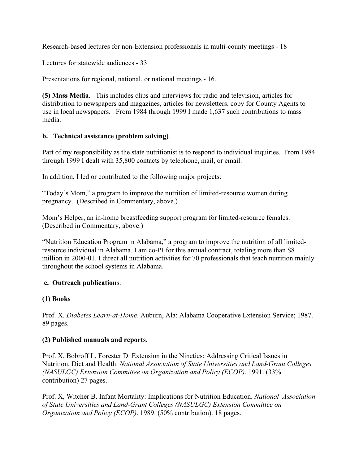Research-based lectures for non-Extension professionals in multi-county meetings - 18

Lectures for statewide audiences - 33

Presentations for regional, national, or national meetings - 16.

**(5) Mass Media**. This includes clips and interviews for radio and television, articles for distribution to newspapers and magazines, articles for newsletters, copy for County Agents to use in local newspapers. From 1984 through 1999 I made 1,637 such contributions to mass media.

### **b. Technical assistance (problem solving)**.

Part of my responsibility as the state nutritionist is to respond to individual inquiries. From 1984 through 1999 I dealt with 35,800 contacts by telephone, mail, or email.

In addition, I led or contributed to the following major projects:

"Today's Mom," a program to improve the nutrition of limited-resource women during pregnancy. (Described in Commentary, above.)

Mom's Helper, an in-home breastfeeding support program for limited-resource females. (Described in Commentary, above.)

"Nutrition Education Program in Alabama," a program to improve the nutrition of all limitedresource individual in Alabama. I am co-PI for this annual contract, totaling more than \$8 million in 2000-01. I direct all nutrition activities for 70 professionals that teach nutrition mainly throughout the school systems in Alabama.

## **c. Outreach publication**s.

## **(1) Books**

Prof. X. *Diabetes Learn-at-Home*. Auburn, Ala: Alabama Cooperative Extension Service; 1987. 89 pages.

#### **(2) Published manuals and report**s.

Prof. X, Bobroff L, Forester D. Extension in the Nineties: Addressing Critical Issues in Nutrition, Diet and Health. *National Association of State Universities and Land-Grant Colleges (NASULGC) Extension Committee on Organization and Policy (ECOP)*. 1991. (33% contribution) 27 pages.

Prof. X, Witcher B. Infant Mortality: Implications for Nutrition Education. *National Association of State Universities and Land-Grant Colleges (NASULGC) Extension Committee on Organization and Policy (ECOP)*. 1989. (50% contribution). 18 pages.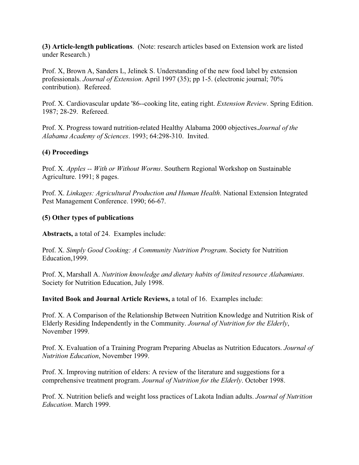**(3) Article-length publications**. (Note: research articles based on Extension work are listed under Research.)

Prof. X, Brown A, Sanders L, Jelinek S. Understanding of the new food label by extension professionals. *Journal of Extension*. April 1997 (35); pp 1-5. (electronic journal; 70% contribution). Refereed.

Prof. X. Cardiovascular update '86--cooking lite, eating right. *Extension Review*. Spring Edition. 1987; 28-29. Refereed.

Prof. X. Progress toward nutrition-related Healthy Alabama 2000 objectives.*Journal of the Alabama Academy of Sciences*. 1993; 64:298-310. Invited.

## **(4) Proceedings**

Prof. X. *Apples -- With or Without Worms*. Southern Regional Workshop on Sustainable Agriculture. 1991; 8 pages.

Prof. X. *Linkages: Agricultural Production and Human Health*. National Extension Integrated Pest Management Conference. 1990; 66-67.

### **(5) Other types of publications**

**Abstracts,** a total of 24. Examples include:

Prof. X. *Simply Good Cooking: A Community Nutrition Program*. Society for Nutrition Education,1999.

Prof. X, Marshall A. *Nutrition knowledge and dietary habits of limited resource Alabamians*. Society for Nutrition Education, July 1998.

**Invited Book and Journal Article Reviews,** a total of 16. Examples include:

Prof. X. A Comparison of the Relationship Between Nutrition Knowledge and Nutrition Risk of Elderly Residing Independently in the Community. *Journal of Nutrition for the Elderly*, November 1999.

Prof. X. Evaluation of a Training Program Preparing Abuelas as Nutrition Educators. *Journal of Nutrition Education*, November 1999.

Prof. X. Improving nutrition of elders: A review of the literature and suggestions for a comprehensive treatment program. *Journal of Nutrition for the Elderly*. October 1998.

Prof. X. Nutrition beliefs and weight loss practices of Lakota Indian adults. *Journal of Nutrition Education*. March 1999.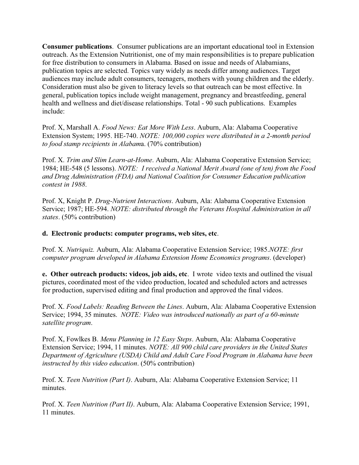**Consumer publications**. Consumer publications are an important educational tool in Extension outreach. As the Extension Nutritionist, one of my main responsibilities is to prepare publication for free distribution to consumers in Alabama. Based on issue and needs of Alabamians, publication topics are selected. Topics vary widely as needs differ among audiences. Target audiences may include adult consumers, teenagers, mothers with young children and the elderly. Consideration must also be given to literacy levels so that outreach can be most effective. In general, publication topics include weight management, pregnancy and breastfeeding, general health and wellness and diet/disease relationships. Total - 90 such publications. Examples include:

Prof. X, Marshall A. *Food News: Eat More With Less*. Auburn, Ala: Alabama Cooperative Extension System; 1995. HE-740. *NOTE: 100,000 copies were distributed in a 2-month period to food stamp recipients in Alabam*a. (70% contribution)

Prof. X. *Trim and Slim Learn-at-Home*. Auburn, Ala: Alabama Cooperative Extension Service; 1984; HE-548 (5 lessons). *NOTE: I received a National Merit Award (one of ten) from the Food and Drug Administration (FDA) and National Coalition for Consumer Education publication contest in 1988*.

Prof. X, Knight P. *Drug-Nutrient Interactions*. Auburn, Ala: Alabama Cooperative Extension Service; 1987; HE-594. *NOTE: distributed through the Veterans Hospital Administration in all states*. (50% contribution)

**d. Electronic products: computer programs, web sites, etc**.

Prof. X. *Nutriquiz.* Auburn, Ala: Alabama Cooperative Extension Service; 1985.*NOTE: first computer program developed in Alabama Extension Home Economics programs*. (developer)

**e. Other outreach products: videos, job aids, etc**. I wrote video texts and outlined the visual pictures, coordinated most of the video production, located and scheduled actors and actresses for production, supervised editing and final production and approved the final videos.

Prof. X. *Food Labels: Reading Between the Lines*. Auburn, Ala: Alabama Cooperative Extension Service; 1994, 35 minutes. *NOTE: Video was introduced nationally as part of a 60-minute satellite program*.

Prof. X, Fowlkes B. *Menu Planning in 12 Easy Steps*. Auburn, Ala: Alabama Cooperative Extension Service; 1994, 11 minutes. *NOTE: All 900 child care providers in the United States Department of Agriculture (USDA) Child and Adult Care Food Program in Alabama have been instructed by this video education*. (50% contribution)

Prof. X. *Teen Nutrition (Part I)*. Auburn, Ala: Alabama Cooperative Extension Service; 11 minutes.

Prof. X. *Teen Nutrition (Part II)*. Auburn, Ala: Alabama Cooperative Extension Service; 1991, 11 minutes.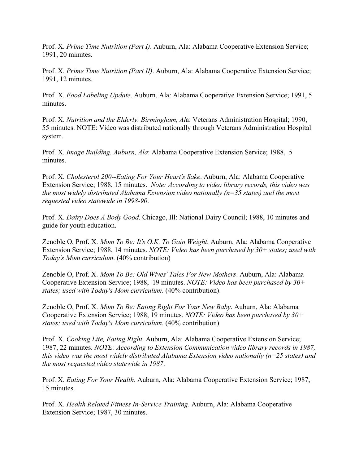Prof. X. *Prime Time Nutrition (Part I)*. Auburn, Ala: Alabama Cooperative Extension Service; 1991, 20 minutes.

Prof. X. *Prime Time Nutrition (Part II)*. Auburn, Ala: Alabama Cooperative Extension Service; 1991, 12 minutes.

Prof. X. *Food Labeling Update*. Auburn, Ala: Alabama Cooperative Extension Service; 1991, 5 minutes.

Prof. X. *Nutrition and the Elderly. Birmingham, Al*a: Veterans Administration Hospital; 1990, 55 minutes. NOTE: Video was distributed nationally through Veterans Administration Hospital system.

Prof. X. *Image Building. Auburn, Ala*: Alabama Cooperative Extension Service; 1988, 5 minutes.

Prof. X. *Cholesterol 200--Eating For Your Heart's Sake*. Auburn, Ala: Alabama Cooperative Extension Service; 1988, 15 minutes. *Note: According to video library records, this video was the most widely distributed Alabama Extension video nationally (n=35 states) and the most requested video statewide in 1998-90*.

Prof. X. *Dairy Does A Body Good*. Chicago, Ill: National Dairy Council; 1988, 10 minutes and guide for youth education.

Zenoble O, Prof. X. *Mom To Be: It's O.K. To Gain Weight*. Auburn, Ala: Alabama Cooperative Extension Service; 1988, 14 minutes. *NOTE: Video has been purchased by 30+ states; used with Today's Mom curriculum*. (40% contribution)

Zenoble O, Prof. X. *Mom To Be: Old Wives' Tales For New Mothers*. Auburn, Ala: Alabama Cooperative Extension Service; 1988, 19 minutes. *NOTE: Video has been purchased by 30+ states; used with Today's Mom curriculum*. (40% contribution).

Zenoble O, Prof. X. *Mom To Be: Eating Right For Your New Baby*. Auburn, Ala: Alabama Cooperative Extension Service; 1988, 19 minutes. *NOTE: Video has been purchased by 30+ states; used with Today's Mom curriculum*. (40% contribution)

Prof. X. *Cooking Lite, Eating Right*. Auburn, Ala: Alabama Cooperative Extension Service; 1987, 22 minutes. *NOTE: According to Extension Communication video library records in 1987, this video was the most widely distributed Alabama Extension video nationally (n=25 states) and the most requested video statewide in 1987*.

Prof. X. *Eating For Your Health*. Auburn, Ala: Alabama Cooperative Extension Service; 1987, 15 minutes.

Prof. X. *Health Related Fitness In-Service Training*. Auburn, Ala: Alabama Cooperative Extension Service; 1987, 30 minutes.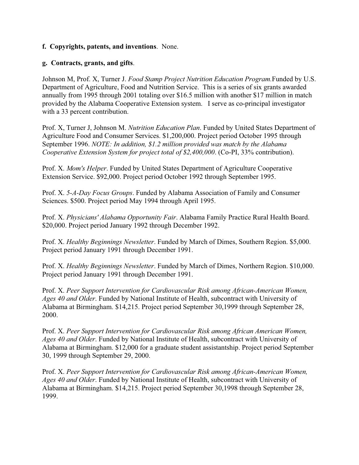#### **f. Copyrights, patents, and inventions**. None.

#### **g. Contracts, grants, and gifts**.

Johnson M, Prof. X, Turner J. *Food Stamp Project Nutrition Education Program.*Funded by U.S. Department of Agriculture, Food and Nutrition Service. This is a series of six grants awarded annually from 1995 through 2001 totaling over \$16.5 million with another \$17 million in match provided by the Alabama Cooperative Extension system. I serve as co-principal investigator with a 33 percent contribution.

Prof. X, Turner J, Johnson M. *Nutrition Education Plan*. Funded by United States Department of Agriculture Food and Consumer Services. \$1,200,000. Project period October 1995 through September 1996. *NOTE: In addition, \$1.2 million provided was match by the Alabama Cooperative Extension System for project total of \$2,400,000*. (Co-PI, 33% contribution).

Prof. X. *Mom's Helper*. Funded by United States Department of Agriculture Cooperative Extension Service. \$92,000. Project period October 1992 through September 1995.

Prof. X. *5-A-Day Focus Groups*. Funded by Alabama Association of Family and Consumer Sciences. \$500. Project period May 1994 through April 1995.

Prof. X. *Physicians' Alabama Opportunity Fair*. Alabama Family Practice Rural Health Board. \$20,000. Project period January 1992 through December 1992.

Prof. X. *Healthy Beginnings Newsletter*. Funded by March of Dimes, Southern Region. \$5,000. Project period January 1991 through December 1991.

Prof. X. *Healthy Beginnings Newsletter*. Funded by March of Dimes, Northern Region. \$10,000. Project period January 1991 through December 1991.

Prof. X. *Peer Support Intervention for Cardiovascular Risk among African-American Women, Ages 40 and Older*. Funded by National Institute of Health, subcontract with University of Alabama at Birmingham. \$14,215. Project period September 30,1999 through September 28, 2000.

Prof. X. *Peer Support Intervention for Cardiovascular Risk among African American Women, Ages 40 and Older*. Funded by National Institute of Health, subcontract with University of Alabama at Birmingham. \$12,000 for a graduate student assistantship. Project period September 30, 1999 through September 29, 2000.

Prof. X. *Peer Support Intervention for Cardiovascular Risk among African-American Women, Ages 40 and Older*. Funded by National Institute of Health, subcontract with University of Alabama at Birmingham. \$14,215. Project period September 30,1998 through September 28, 1999.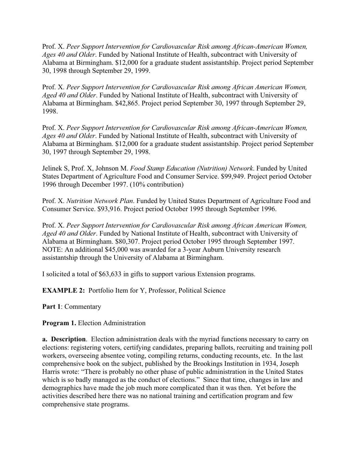Prof. X. *Peer Support Intervention for Cardiovascular Risk among African-American Women, Ages 40 and Older*. Funded by National Institute of Health, subcontract with University of Alabama at Birmingham. \$12,000 for a graduate student assistantship. Project period September 30, 1998 through September 29, 1999.

Prof. X. *Peer Support Intervention for Cardiovascular Risk among African American Women, Aged 40 and Older*. Funded by National Institute of Health, subcontract with University of Alabama at Birmingham. \$42,865. Project period September 30, 1997 through September 29, 1998.

Prof. X. *Peer Support Intervention for Cardiovascular Risk among African-American Women, Ages 40 and Older*. Funded by National Institute of Health, subcontract with University of Alabama at Birmingham. \$12,000 for a graduate student assistantship. Project period September 30, 1997 through September 29, 1998.

Jelinek S, Prof. X, Johnson M. *Food Stamp Education (Nutrition) Network*. Funded by United States Department of Agriculture Food and Consumer Service. \$99,949. Project period October 1996 through December 1997. (10% contribution)

Prof. X. *Nutrition Network Plan*. Funded by United States Department of Agriculture Food and Consumer Service. \$93,916. Project period October 1995 through September 1996.

Prof. X. *Peer Support Intervention for Cardiovascular Risk among African American Women, Aged 40 and Older*. Funded by National Institute of Health, subcontract with University of Alabama at Birmingham. \$80,307. Project period October 1995 through September 1997. NOTE: An additional \$45,000 was awarded for a 3-year Auburn University research assistantship through the University of Alabama at Birmingham.

I solicited a total of \$63,633 in gifts to support various Extension programs.

**EXAMPLE 2:** Portfolio Item for Y, Professor, Political Science

**Part 1**: Commentary

**Program 1.** Election Administration

**a. Description**. Election administration deals with the myriad functions necessary to carry on elections: registering voters, certifying candidates, preparing ballots, recruiting and training poll workers, overseeing absentee voting, compiling returns, conducting recounts, etc. In the last comprehensive book on the subject, published by the Brookings Institution in 1934, Joseph Harris wrote: "There is probably no other phase of public administration in the United States which is so badly managed as the conduct of elections." Since that time, changes in law and demographics have made the job much more complicated than it was then. Yet before the activities described here there was no national training and certification program and few comprehensive state programs.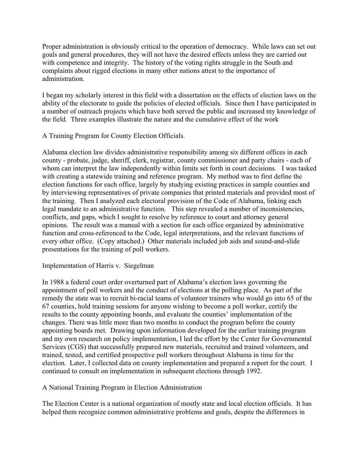Proper administration is obviously critical to the operation of democracy. While laws can set out goals and general procedures, they will not have the desired effects unless they are carried out with competence and integrity. The history of the voting rights struggle in the South and complaints about rigged elections in many other nations attest to the importance of administration.

I began my scholarly interest in this field with a dissertation on the effects of election laws on the ability of the electorate to guide the policies of elected officials. Since then I have participated in a number of outreach projects which have both served the public and increased my knowledge of the field. Three examples illustrate the nature and the cumulative effect of the work

A Training Program for County Election Officials.

Alabama election law divides administrative responsibility among six different offices in each county - probate, judge, sheriff, clerk, registrar, county commissioner and party chairs - each of whom can interpret the law independently within limits set forth in court decisions. I was tasked with creating a statewide training and reference program. My method was to first define the election functions for each office, largely by studying existing practices in sample counties and by interviewing representatives of private companies that printed materials and provided most of the training. Then I analyzed each electoral provision of the Code of Alabama, linking each legal mandate to an administrative function. This step revealed a number of inconsistencies, conflicts, and gaps, which I sought to resolve by reference to court and attorney general opinions. The result was a manual with a section for each office organized by administrative function and cross-referenced to the Code, legal interpretations, and the relevant functions of every other office. (Copy attached.) Other materials included job aids and sound-and-slide presentations for the training of poll workers.

## Implementation of Harris v. Siegelman

In 1988 a federal court order overturned part of Alabama's election laws governing the appointment of poll workers and the conduct of elections at the polling place. As part of the remedy the state was to recruit bi-racial teams of volunteer trainers who would go into 65 of the 67 counties, hold training sessions for anyone wishing to become a poll worker, certify the results to the county appointing boards, and evaluate the counties' implementation of the changes. There was little more than two months to conduct the program before the county appointing boards met. Drawing upon information developed for the earlier training program and my own research on policy implementation, I led the effort by the Center for Governmental Services (CGS) that successfully prepared new materials, recruited and trained volunteers, and trained, tested, and certified prospective poll workers throughout Alabama in time for the election. Later, I collected data on county implementation and prepared a report for the court. I continued to consult on implementation in subsequent elections through 1992.

A National Training Program in Election Administration

The Election Center is a national organization of mostly state and local election officials. It has helped them recognize common administrative problems and goals, despite the differences in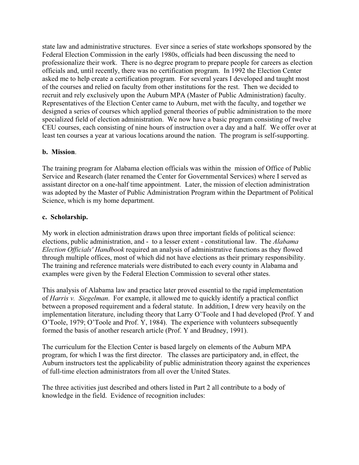state law and administrative structures. Ever since a series of state workshops sponsored by the Federal Election Commission in the early 1980s, officials had been discussing the need to professionalize their work. There is no degree program to prepare people for careers as election officials and, until recently, there was no certification program. In 1992 the Election Center asked me to help create a certification program. For several years I developed and taught most of the courses and relied on faculty from other institutions for the rest. Then we decided to recruit and rely exclusively upon the Auburn MPA (Master of Public Administration) faculty. Representatives of the Election Center came to Auburn, met with the faculty, and together we designed a series of courses which applied general theories of public administration to the more specialized field of election administration. We now have a basic program consisting of twelve CEU courses, each consisting of nine hours of instruction over a day and a half. We offer over at least ten courses a year at various locations around the nation. The program is self-supporting.

## **b. Mission**.

The training program for Alabama election officials was within the mission of Office of Public Service and Research (later renamed the Center for Governmental Services) where I served as assistant director on a one-half time appointment. Later, the mission of election administration was adopted by the Master of Public Administration Program within the Department of Political Science, which is my home department.

### **c. Scholarship.**

My work in election administration draws upon three important fields of political science: elections, public administration, and - to a lesser extent - constitutional law. The *Alabama Election Officials' Handbook* required an analysis of administrative functions as they flowed through multiple offices, most of which did not have elections as their primary responsibility. The training and reference materials were distributed to each every county in Alabama and examples were given by the Federal Election Commission to several other states.

This analysis of Alabama law and practice later proved essential to the rapid implementation of *Harris v. Siegelman*. For example, it allowed me to quickly identify a practical conflict between a proposed requirement and a federal statute. In addition, I drew very heavily on the implementation literature, including theory that Larry O'Toole and I had developed (Prof. Y and O'Toole, 1979; O'Toole and Prof. Y, 1984). The experience with volunteers subsequently formed the basis of another research article (Prof. Y and Brudney, 1991).

The curriculum for the Election Center is based largely on elements of the Auburn MPA program, for which I was the first director. The classes are participatory and, in effect, the Auburn instructors test the applicability of public administration theory against the experiences of full-time election administrators from all over the United States.

The three activities just described and others listed in Part 2 all contribute to a body of knowledge in the field. Evidence of recognition includes: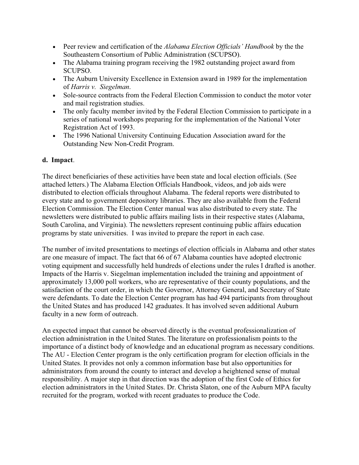- • Peer review and certification of the *Alabama Election Officials' Handbook* by the the Southeastern Consortium of Public Administration (SCUPSO).
- The Alabama training program receiving the 1982 outstanding project award from SCUPSO.
- The Auburn University Excellence in Extension award in 1989 for the implementation of *Harris v. Siegelman*.
- Sole-source contracts from the Federal Election Commission to conduct the motor voter and mail registration studies.
- The only faculty member invited by the Federal Election Commission to participate in a series of national workshops preparing for the implementation of the National Voter Registration Act of 1993.
- The 1996 National University Continuing Education Association award for the Outstanding New Non-Credit Program.

# **d. Impact**.

The direct beneficiaries of these activities have been state and local election officials. (See attached letters.) The Alabama Election Officials Handbook, videos, and job aids were distributed to election officials throughout Alabama. The federal reports were distributed to every state and to government depository libraries. They are also available from the Federal Election Commission. The Election Center manual was also distributed to every state. The newsletters were distributed to public affairs mailing lists in their respective states (Alabama, South Carolina, and Virginia). The newsletters represent continuing public affairs education programs by state universities. I was invited to prepare the report in each case.

The number of invited presentations to meetings of election officials in Alabama and other states are one measure of impact. The fact that 66 of 67 Alabama counties have adopted electronic voting equipment and successfully held hundreds of elections under the rules I drafted is another. Impacts of the Harris v. Siegelman implementation included the training and appointment of approximately 13,000 poll workers, who are representative of their county populations, and the satisfaction of the court order, in which the Governor, Attorney General, and Secretary of State were defendants. To date the Election Center program has had 494 participants from throughout the United States and has produced 142 graduates. It has involved seven additional Auburn faculty in a new form of outreach.

An expected impact that cannot be observed directly is the eventual professionalization of election administration in the United States. The literature on professionalism points to the importance of a distinct body of knowledge and an educational program as necessary conditions. The AU - Election Center program is the only certification program for election officials in the United States. It provides not only a common information base but also opportunities for administrators from around the county to interact and develop a heightened sense of mutual responsibility. A major step in that direction was the adoption of the first Code of Ethics for election administrators in the United States. Dr. Christa Slaton, one of the Auburn MPA faculty recruited for the program, worked with recent graduates to produce the Code.